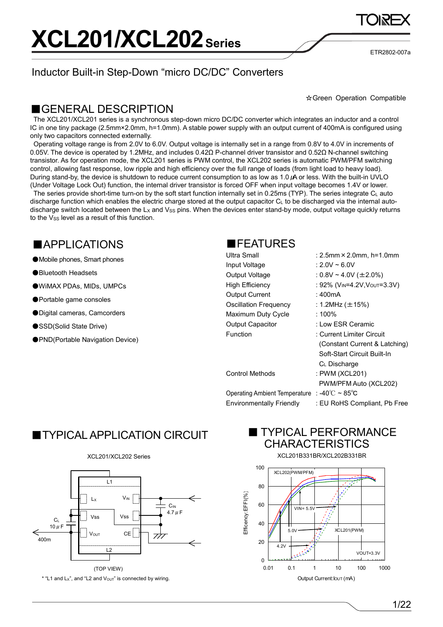Inductor Built-in Step-Down "micro DC/DC" Converters

ETR2802-007a

#### ☆Green Operation Compatible

### ■GENERAL DESCRIPTION

The XCL201/XCL201 series is a synchronous step-down micro DC/DC converter which integrates an inductor and a control IC in one tiny package (2.5mm×2.0mm, h=1.0mm). A stable power supply with an output current of 400mA is configured using only two capacitors connected externally.

Operating voltage range is from 2.0V to 6.0V. Output voltage is internally set in a range from 0.8V to 4.0V in increments of 0.05V. The device is operated by 1.2MHz, and includes 0.42Ω P-channel driver transistor and 0.52Ω N-channel switching transistor. As for operation mode, the XCL201 series is PWM control, the XCL202 series is automatic PWM/PFM switching control, allowing fast response, low ripple and high efficiency over the full range of loads (from light load to heavy load). During stand-by, the device is shutdown to reduce current consumption to as low as 1.0μA or less. With the built-in UVLO (Under Voltage Lock Out) function, the internal driver transistor is forced OFF when input voltage becomes 1.4V or lower.

The series provide short-time turn-on by the soft start function internally set in 0.25ms (TYP). The series integrate C<sub>L</sub> auto discharge function which enables the electric charge stored at the output capacitor  $C_L$  to be discharged via the internal autodischarge switch located between the  $L_X$  and  $V_{SS}$  pins. When the devices enter stand-by mode, output voltage quickly returns to the V<sub>SS</sub> level as a result of this function.

### ■APPLICATIONS

● Mobile phones, Smart phones

●Bluetooth Headsets

●WiMAX PDAs, MIDs, UMPCs

●Portable game consoles

●Digital cameras, Camcorders

- ●SSD(Solid State Drive)
- ●PND(Portable Navigation Device)



| Ultra Small                     | : $2.5$ mm $\times$ $2.0$ mm, $h$ =1.0mm             |
|---------------------------------|------------------------------------------------------|
| Input Voltage                   | : 2.0V ~ 6.0V                                        |
| Output Voltage                  | : $0.8V \sim 4.0V$ (±2.0%)                           |
| High Efficiency                 | : 92% (V <sub>IN</sub> =4.2V,V <sub>OUT</sub> =3.3V) |
| <b>Output Current</b>           | : 400mA                                              |
| <b>Oscillation Frequency</b>    | : 1.2MHz (±15%)                                      |
| Maximum Duty Cycle              | : $100\%$                                            |
| <b>Output Capacitor</b>         | : Low ESR Ceramic                                    |
| Function                        | : Current Limiter Circuit                            |
|                                 | (Constant Current & Latching)                        |
|                                 | Soft-Start Circuit Built-In                          |
|                                 | C <sub>L</sub> Discharge                             |
| <b>Control Methods</b>          | : PWM (XCL201)                                       |
|                                 | PWM/PFM Auto (XCL202)                                |
| Operating Ambient Temperature   | : -40℃ ~ 85℃                                         |
| <b>Environmentally Friendly</b> | : EU RoHS Compliant, Pb Free                         |

## ■TYPICAL APPLICATION CIRCUIT





 $*$  "L1 and Lx", and "L2 and  $V_{\text{OUT}}$ " is connected by wiring.

### ■ TYPICAL PERFORMANCE **CHARACTERISTICS**



XCL201B331BR/XCL202B331BR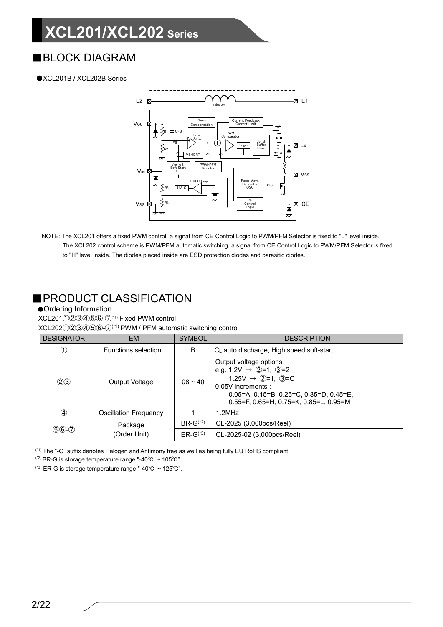## ■BLOCK DIAGRAM

#### ●XCL201B / XCL202B Series



NOTE: The XCL201 offers a fixed PWM control, a signal from CE Control Logic to PWM/PFM Selector is fixed to "L" level inside. The XCL202 control scheme is PWM/PFM automatic switching, a signal from CE Control Logic to PWM/PFM Selector is fixed to "H" level inside. The diodes placed inside are ESD protection diodes and parasitic diodes.

### ■PRODUCT CLASSIFICATION

#### ●Ordering Information

XCL201①223456-7<sup>(\*1)</sup> Fixed PWM control

XCL202①②③④⑤-①<sup>(\*1)</sup> PWM / PFM automatic switching control

| <b>DESIGNATOR</b> | <b>ITEM</b>                  | <b>SYMBOL</b><br><b>DESCRIPTION</b>                                                                                                                                                                                                                                    |                                                      |
|-------------------|------------------------------|------------------------------------------------------------------------------------------------------------------------------------------------------------------------------------------------------------------------------------------------------------------------|------------------------------------------------------|
| (1)               | <b>Functions selection</b>   | B                                                                                                                                                                                                                                                                      | C <sub>L</sub> auto discharge, High speed soft-start |
| (2)3              | Output Voltage               | Output voltage options<br>e.g. 1.2V $\rightarrow$ 2=1, 3=2<br>1.25V $\rightarrow$ (2)=1, (3)=C<br>$08 - 40$<br>$0.05V$ increments:<br>$0.05 = A$ , $0.15 = B$ , $0.25 = C$ , $0.35 = D$ , $0.45 = E$<br>$0.55 = F$ , $0.65 = H$ , $0.75 = K$ , $0.85 = L$ , $0.95 = M$ |                                                      |
| ④                 | <b>Oscillation Frequency</b> |                                                                                                                                                                                                                                                                        | 1.2MHz                                               |
| $$6-2$            | Package                      | $BR-G^{(2)}$                                                                                                                                                                                                                                                           | CL-2025 (3,000pcs/Reel)                              |
|                   | (Order Unit)                 | $ER-G^{(3)}$                                                                                                                                                                                                                                                           | CL-2025-02 (3,000pcs/Reel)                           |

(\*1) The "-G" suffix denotes Halogen and Antimony free as well as being fully EU RoHS compliant.

(\*2) BR-G is storage temperature range "-40℃ ~ 105℃".

(\*3) ER-G is storage temperature range "-40℃ ~ 125℃".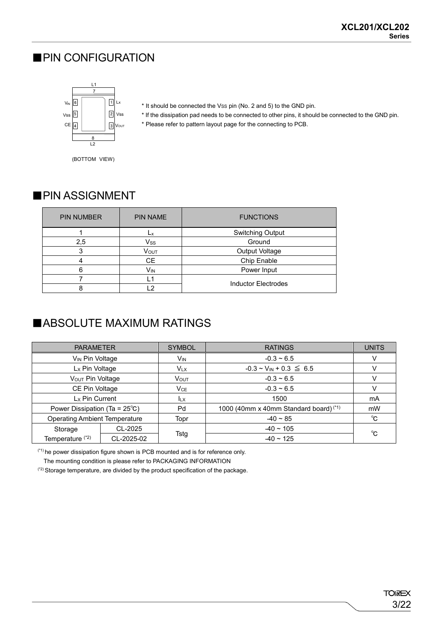### ■PIN CONFIGURATION



- \* It should be connected the VSS pin (No. 2 and 5) to the GND pin.
- \* If the dissipation pad needs to be connected to other pins, it should be connected to the GND pin.
- \* Please refer to pattern layout page for the connecting to PCB.

(BOTTOM VIEW)

### ■ PIN ASSIGNMENT

| <b>PIN NUMBER</b> | <b>PIN NAME</b>        | <b>FUNCTIONS</b>           |  |
|-------------------|------------------------|----------------------------|--|
|                   | Lх                     | <b>Switching Output</b>    |  |
| 2,5               | Vss                    | Ground                     |  |
|                   | Vout<br>Output Voltage |                            |  |
|                   | CE                     | Chip Enable                |  |
| 6                 | Vın                    | Power Input                |  |
|                   | i 1                    | <b>Inductor Electrodes</b> |  |
|                   | ່າ                     |                            |  |

## ■ABSOLUTE MAXIMUM RATINGS

| <b>PARAMETER</b>                        |            | <b>SYMBOL</b>         | <b>RATINGS</b>                                    | <b>UNITS</b> |
|-----------------------------------------|------------|-----------------------|---------------------------------------------------|--------------|
| V <sub>IN</sub> Pin Voltage             |            | <b>V<sub>IN</sub></b> | $-0.3 - 6.5$                                      |              |
| Lx Pin Voltage                          |            | $V_{LX}$              | $-0.3 \sim V_{IN} + 0.3 \leq 6.5$                 |              |
| VOUT Pin Voltage                        |            | <b>VOUT</b>           | $-0.3 \sim 6.5$                                   |              |
| CE Pin Voltage                          |            | VCE                   | $-0.3 \sim 6.5$                                   |              |
| L <sub>x</sub> Pin Current              |            | <b>ILX</b>            | 1500                                              | mA           |
| Power Dissipation (Ta = $25^{\circ}$ C) |            | Pd                    | 1000 (40mm x 40mm Standard board) <sup>(*1)</sup> | mW           |
| <b>Operating Ambient Temperature</b>    |            | Topr                  | $-40 \sim 85$                                     | °C           |
| Storage                                 | CL-2025    |                       | $-40 \sim 105$                                    | °C           |
| Temperature <sup>(*2)</sup>             | CL-2025-02 | Tstg                  | $-40 \sim 125$                                    |              |

(\*1) he power dissipation figure shown is PCB mounted and is for reference only.

The mounting condition is please refer to PACKAGING INFORMATION

(\*2) Storage temperature, are divided by the product specification of the package.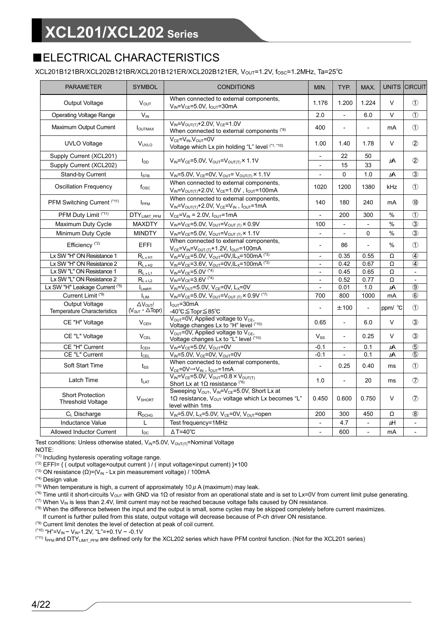## ■ELECTRICAL CHARACTERISTICS

XCL201B121BR/XCL202B121BR/XCL201B121ER/XCL202B121ER, VOUT=1.2V, fOSC=1.2MHz, Ta=25℃

| <b>PARAMETER</b>                                     | <b>SYMBOL</b>                                             | <b>CONDITIONS</b>                                                                                                                                                           | MIN.                     | TYP.                     | MAX.                     |         | UNITS CIRCUIT            |
|------------------------------------------------------|-----------------------------------------------------------|-----------------------------------------------------------------------------------------------------------------------------------------------------------------------------|--------------------------|--------------------------|--------------------------|---------|--------------------------|
| Output Voltage                                       | $V_{\text{OUT}}$                                          | When connected to external components,<br>$V_{IN} = V_{CE} = 5.0V$ , $I_{OUT} = 30mA$                                                                                       | 1.176                    | 1.200                    | 1.224                    | V       | $\circled{1}$            |
| <b>Operating Voltage Range</b>                       | $V_{IN}$                                                  |                                                                                                                                                                             | 2.0                      |                          | 6.0                      | V       | $\circled{1}$            |
| Maximum Output Current                               | <b>I</b> OUTMAX                                           | $V_{IN} = V_{OUT(T)} + 2.0V, V_{CE} = 1.0V$<br>When connected to external components (*8)                                                                                   | 400                      | $\blacksquare$           | ÷,                       | mA      | $\circled{1}$            |
| <b>UVLO Voltage</b>                                  | VUVLO                                                     | $V_{CE} = V_{IN}$ , $V_{OUT} = 0V$<br>Voltage which Lx pin holding "L" level (*1, *10)                                                                                      | 1.00                     | 1.40                     | 1.78                     | V       | $\circled{2}$            |
| Supply Current (XCL201)                              |                                                           |                                                                                                                                                                             | $\overline{\phantom{a}}$ | 22                       | 50                       |         |                          |
| Supply Current (XCL202)                              | <b>I<sub>DD</sub></b>                                     | $V_{IN} = V_{CE} = 5.0 V$ , $V_{OUT} = V_{OUT(T)} \times 1.1 V$                                                                                                             |                          | 15                       | 33                       | μA      | $\circled{2}$            |
| Stand-by Current                                     | $I_{\text{STB}}$                                          | $V_{IN} = 5.0 V$ , $V_{CE} = 0 V$ , $V_{OUT} = V_{OUT(T)} \times 1.1 V$                                                                                                     |                          | $\mathbf{0}$             | 1.0                      | μA      | $\circled{3}$            |
| <b>Oscillation Frequency</b>                         | $f_{\rm osc}$                                             | When connected to external components,<br>$V_{IN} = V_{OUT(T)} + 2.0V, V_{CE} = 1.0V, I_{OUT} = 100mA$                                                                      | 1020                     | 1200                     | 1380                     | kHz     | $\circled{1}$            |
| PFM Switching Current (*11)                          | I <sub>PFM</sub>                                          | When connected to external components,<br>$V_{IN} = V_{OUT(T)} + 2.0V$ , $V_{CE} = V_{IN}$ , $I_{OUT} = 1mA$                                                                | 140                      | 180                      | 240                      | mA      | $\circledR$              |
| PFM Duty Limit (*11)                                 | DTY <sub>LIMIT_PFM</sub>                                  | $V_{CE} = V_{IN} = 2.0 V, I_{OUT} = 1 mA$                                                                                                                                   | $\blacksquare$           | 200                      | 300                      | %       | $\circled{1}$            |
| Maximum Duty Cycle                                   | <b>MAXDTY</b>                                             | $V_{IN} = V_{CE} = 5.0V$ , $V_{OUT} = V_{OUT(T)} \times 0.9V$                                                                                                               | 100                      | $\blacksquare$           | $\overline{a}$           | %       | $\circled{3}$            |
| Minimum Duty Cycle                                   | <b>MINDTY</b>                                             | $V_{IN} = V_{CE} = 5.0V$ , $V_{OUT} = V_{OUT(T)} \times 1.1V$                                                                                                               | $\blacksquare$           | $\blacksquare$           | $\Omega$                 | $\%$    | $\circled{3}$            |
| Efficiency <sup>(*2)</sup>                           | <b>EFFI</b>                                               | When connected to external components,<br>$V_{CE} = V_{IN} = V_{OUT(T)} + 1.2V, I_{OUT} = 100mA$                                                                            | $\overline{a}$           | 86                       |                          | %       | $\circled{1}$            |
| Lx SW "H" ON Resistance 1                            | $R_{L \times H1}$                                         | $V_{IN} = V_{CE} = 5.0V$ , $V_{OUT} = 0V$ , $I_{X} = 100$ mA (*3)                                                                                                           | $\overline{\phantom{a}}$ | 0.35                     | 0.55                     | Ω       | $\circled{4}$            |
| Lx SW "H" ON Resistance 2                            | $R_{L \times H2}$                                         | $V_{IN} = V_{CE} = 3.6V$ , $V_{OUT} = 0V$ , $\overline{IL_x} = 100mA$ <sup>(*3)</sup>                                                                                       | $\blacksquare$           | 0.42                     | 0.67                     | Ω       | $\bf{a}$                 |
| Lx SW "L" ON Resistance 1                            | $R_{L \times L1}$                                         | $V_{IN} = V_{CE} = 5.0V$ <sup>(*4)</sup>                                                                                                                                    | $\blacksquare$           | 0.45                     | 0.65                     | Ω       | $\overline{\phantom{a}}$ |
| Lx SW "L" ON Resistance 2                            | $R_{L \times L2}$                                         | $V_{IN} = V_{CE} = 3.6V$ <sup>(*4)</sup>                                                                                                                                    | $\overline{\phantom{a}}$ | 0.52                     | 0.77                     | Ω       | $\blacksquare$           |
| Lx SW "H" Leakage Current (*5)                       | $I_{\text{LeakH}}$                                        | $V_{IN} = V_{OUT} = 5.0V$ , $V_{CE} = 0V$ , $L_X = 0V$                                                                                                                      |                          | 0.01                     | 1.0                      | $\mu$ A | $\circled{9}$            |
| Current Limit <sup>(*9)</sup>                        | <b>LIM</b>                                                | $V_{IN} = V_{CE} = 5.0V$ , $V_{OUT} = V_{OUT(T)} \times 0.9V$ <sup>(*7)</sup>                                                                                               | 700                      | 800                      | 1000                     | mA      | $\circled{6}$            |
| <b>Output Voltage</b><br>Temperature Characteristics | $\Delta V_{\text{OUT}}/$<br>$(VOUT · \Delta \text{Topr})$ | $IOUT=30mA$<br>-40℃≦Topr≦85℃                                                                                                                                                | $\overline{a}$           | ±100                     | $\overline{a}$           | ppm/ °C | $\circled{1}$            |
| CE "H" Voltage                                       | V <sub>CFH</sub>                                          | $V_{\text{OUT}}$ =0V, Applied voltage to $V_{\text{CE}}$ ,<br>Voltage changes Lx to "H" level (*10)                                                                         | 0.65                     | $\overline{a}$           | 6.0                      | $\vee$  | $\circled{3}$            |
| CE "L" Voltage                                       | $V_{\text{CEL}}$                                          | $V_{OUT}$ =0V, Applied voltage to $V_{CE}$ ,<br>Voltage changes Lx to "L" level (*10)                                                                                       | $V_{SS}$                 | $\overline{a}$           | 0.25                     | $\vee$  | $\circled{3}$            |
| CE "H" Current                                       | $I_{\sf CEH}$                                             | $V_{IN} = V_{CE} = 5.0V$ , $V_{OUT} = 0V$                                                                                                                                   | $-0.1$                   | $\overline{\phantom{a}}$ | 0.1                      | μA      | $\circledS$              |
| CE "L" Current                                       | $I_{\rm CEL}$                                             | $V_{IN} = 5.0V$ , $V_{CE} = 0V$ , $V_{OUT} = 0V$                                                                                                                            | $-0.1$                   |                          | 0.1                      | μA      | $\circledS$              |
| Soft Start Time                                      | $t_{\rm SS}$                                              | When connected to external components,<br>$V_{CE} = 0V \rightarrow V_{IN}$ , $I_{OUT} = 1mA$                                                                                | $\overline{a}$           | 0.25                     | 0.40                     | ms      | $\circled{1}$            |
| Latch Time                                           | <b>t</b> <sub>LAT</sub>                                   | $V_{IN} = V_{CE} = 5.0 V$ , $V_{OUT} = 0.8 \times V_{OUT}$<br>Short Lx at $1\Omega$ resistance (*6)                                                                         | 1.0                      | ÷,                       | 20                       | ms      | $\circledcirc$           |
| <b>Short Protection</b><br><b>Threshold Voltage</b>  | V <sub>SHORT</sub>                                        | Sweeping V <sub>OUT</sub> , V <sub>IN</sub> =V <sub>CE</sub> =5.0V, Short Lx at<br>1 $\Omega$ resistance, V <sub>OUT</sub> voltage which Lx becomes "L"<br>level within 1ms | 0.450                    | 0.600                    | 0.750                    | $\vee$  | $\circled7$              |
| $C_{L}$ Discharge                                    | R <sub>DCHG</sub>                                         | $V_{IN} = 5.0V$ , L <sub>x</sub> =5.0V, V <sub>CE</sub> =0V, V <sub>OUT</sub> =open                                                                                         | 200                      | 300                      | 450                      | Ω       | (8)                      |
| <b>Inductance Value</b>                              | L                                                         | Test frequency=1MHz                                                                                                                                                         | $\overline{a}$           | 4.7                      |                          | μH      | $\blacksquare$           |
| <b>Allowed Inductor Current</b>                      | $I_{DC}$                                                  | $\triangle T = 40^{\circ}C$                                                                                                                                                 | $\overline{a}$           | 600                      | $\overline{\phantom{a}}$ | mA      | ÷,                       |

Test conditions: Unless otherwise stated,  $V_{IN}$ =5.0V,  $V_{OUT(T)}$ =Nominal Voltage

NOTE:

(\*1) Including hysteresis operating voltage range.

(\*2) EFFI= { ( output voltage×output current ) / ( input voltage×input current) }×100

(\*3) ON resistance  $(Ω) = (V<sub>IN</sub> - Lx)$  pin measurement voltage) / 100mA

(\*4) Design value

<sup>(\*5)</sup> When temperature is high, a current of approximately 10  $\mu$  A (maximum) may leak.

<sup>(\*6)</sup> Time until it short-circuits V<sub>OUT</sub> with GND via 1Ω of resistor from an operational state and is set to Lx=0V from current limit pulse generating.  $(7)$  When V<sub>IN</sub> is less than 2.4V, limit current may not be reached because voltage falls caused by ON resistance.

(\*8) When the difference between the input and the output is small, some cycles may be skipped completely before current maximizes.

If current is further pulled from this state, output voltage will decrease because of P-ch driver ON resistance.

(\*9) Current limit denotes the level of detection at peak of coil current.

 $(10)$  "H"=V<sub>IN</sub> ~ V<sub>IN</sub>-1.2V, "L"=+0.1V ~ -0.1V

<sup>(\*11)</sup> I<sub>PFM</sub> and DTY<sub>LIMIT\_PFM</sub> are defined only for the XCL202 series which have PFM control function. (Not for the XCL201 series)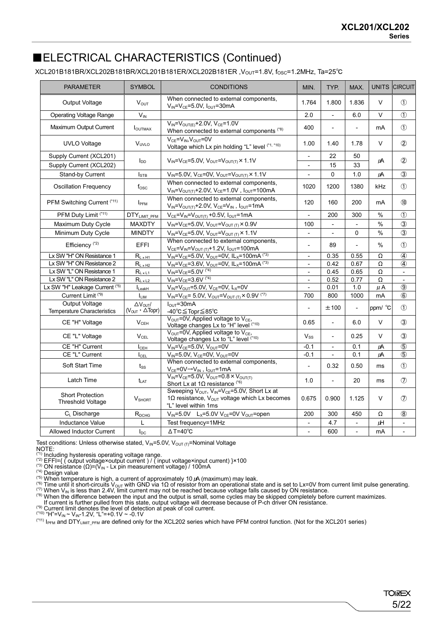## ■ELECTRICAL CHARACTERISTICS (Continued)

#### XCL201B181BR/XCL202B181BR/XCL201B181ER/XCL202B181ER ,VOUT=1.8V, fOSC=1.2MHz, Ta=25℃

| <b>PARAMETER</b>                                     | <b>SYMBOL</b>                                         | <b>CONDITIONS</b>                                                                                                                                       | MIN.                         | TYP.           | MAX.           |               | UNITS CIRCUIT            |
|------------------------------------------------------|-------------------------------------------------------|---------------------------------------------------------------------------------------------------------------------------------------------------------|------------------------------|----------------|----------------|---------------|--------------------------|
| <b>Output Voltage</b>                                | $V_{OUT}$                                             | When connected to external components,<br>$V_{IN} = V_{CE} = 5.0V$ , $I_{OUT} = 30mA$                                                                   |                              | 1.800          | 1.836          | $\vee$        | $\bigcirc$               |
| <b>Operating Voltage Range</b>                       | $V_{\text{IN}}$                                       |                                                                                                                                                         | 2.0                          | $\overline{a}$ | 6.0            | $\vee$        | $\bigcirc$               |
| Maximum Output Current                               | <b>I</b> OUTMAX                                       | $V_{IN} = V_{OUT(E)} + 2.0V, V_{CE} = 1.0V$<br>When connected to external components (*8)                                                               | 400                          | $\overline{a}$ | $\overline{a}$ | mA            | $\bigcirc$               |
| <b>UVLO Voltage</b>                                  | V <sub>UVLO</sub>                                     | $V_{CE} = V_{IN}$ , $V_{OUT} = 0V$<br>Voltage which Lx pin holding "L" level (*1, *10)                                                                  | 1.00                         | 1.40           | 1.78           | $\vee$        | $\circled{2}$            |
| Supply Current (XCL201)                              |                                                       |                                                                                                                                                         | $\frac{1}{2}$                | 22             | 50             | LA            | $\circled{2}$            |
| Supply Current (XCL202)                              | <b>I</b> <sub>DD</sub>                                | $V_{IN} = V_{CE} = 5.0V$ , $V_{OUT} = V_{OUT} \times 1.1V$                                                                                              | $\qquad \qquad \blacksquare$ | 15             | 33             |               |                          |
| Stand-by Current                                     | $I_{\text{STB}}$                                      | $V_{IN} = 5.0V$ , $V_{CE} = 0V$ , $V_{OUT} = V_{OUT(T)} \times 1.1V$                                                                                    |                              | 0              | 1.0            | μA            | $\circled{3}$            |
| <b>Oscillation Frequency</b>                         | $f_{\rm osc}$                                         | When connected to external components,<br>$V_{IN} = V_{OUT(T)} + 2.0V, V_{CE} = 1.0V, I_{OUT} = 100mA$                                                  | 1020                         | 1200           | 1380           | kHz           | $\circled{1}$            |
| PFM Switching Current (*11)                          | I <sub>PFM</sub>                                      | When connected to external components,<br>$V_{IN} = V_{OUT(T)} + 2.0V$ , $V_{CE} = V_{IN}$ , $I_{OUT} = 1mA$                                            | 120                          | 160            | 200            | mA            | $\circledR$              |
| PFM Duty Limit (*11)                                 | DTYLIMIT_PFM                                          | $V_{CE} = V_{IN} = V_{OUT(T)} + 0.5V$ , $I_{OUT} = 1mA$                                                                                                 |                              | 200            | 300            | $\%$          | $\circled{1}$            |
| Maximum Duty Cycle                                   | <b>MAXDTY</b>                                         | $V_{IN} = V_{CE} = 5.0V$ , $V_{OUT} = V_{OUT(T)} \times 0.9V$                                                                                           | 100                          | $\overline{a}$ | L.             | $\frac{0}{0}$ | $\overline{\circ}$       |
| Minimum Duty Cycle                                   | <b>MINDTY</b>                                         | $V_{IN} = V_{CE} = 5.0 V$ , $V_{OUT} = V_{OUT(T)} \times 1.1 V$                                                                                         | $\frac{1}{2}$                | $\blacksquare$ | $\Omega$       | $\frac{0}{0}$ | $\circled{3}$            |
| Efficiency $(2)$                                     | <b>EFFI</b>                                           | When connected to external components,<br>$V_{CE} = V_{IN} = V_{OUT(T)} + 1.2V$ , $I_{OUT} = 100mA$                                                     | L,                           | 89             |                | %             | $\circled{1}$            |
| Lx SW "H" ON Resistance 1                            | $R_{L \times H1}$                                     | $V_{IN} = V_{CE} = 5.0V$ , $V_{OUT} = 0V$ , $IL_X = 100mA$ <sup>(*3)</sup>                                                                              | $\overline{\phantom{0}}$     | 0.35           | 0.55           | Ω             | $\bf{a}$                 |
| Lx SW "H" ON Resistance 2                            | $R_{L \times H2}$                                     | $V_{IN} = V_{CE} = 3.6V$ , $V_{OUT} = 0V$ , $IL_X = 100mA$ <sup>(*3)</sup>                                                                              | $\blacksquare$               | 0.42           | 0.67           | Ω             | $\bf{a}$                 |
| Lx SW "L" ON Resistance 1                            | $R_{L \times L1}$                                     | $V_{IN} = V_{CE} = 5.0V$ <sup>(*4)</sup>                                                                                                                | $\overline{a}$               | 0.45           | 0.65           | Ω             | $\overline{\phantom{a}}$ |
| Lx SW "L" ON Resistance 2                            | $R_{L \times L2}$                                     | $V_{IN} = V_{CE} = 3.6V$ <sup>(*4)</sup>                                                                                                                | $\overline{a}$               | 0.52           | 0.77           | Ω             | $\blacksquare$           |
| Lx SW "H" Leakage Current (*5)                       | $I_{\text{LeakH}}$                                    | $V_{IN} = V_{OUT} = 5.0V$ , $V_{CE} = 0V$ , $L_X = 0V$                                                                                                  |                              | 0.01           | 1.0            | $\mu$ A       | $\overline{③}$           |
| Current Limit <sup>(*9)</sup>                        | <b>ILIM</b>                                           | $V_{IN} = V_{CE} = 5.0 V$ , $V_{OUT} = V_{OUT(T)} \times 0.9 V^{(27)}$                                                                                  | 700                          | 800            | 1000           | mA            | $\circledast$            |
| Output Voltage<br><b>Temperature Characteristics</b> | $\Delta V_{OUT}$<br>$(VQUT \cdot \Delta \text{Topr})$ | $IOUT=30mA$<br>-40°C≦Topr≦85°C                                                                                                                          |                              | ±100           | $\overline{a}$ | ppm/ °C       | $\circ$                  |
| CE "H" Voltage                                       | $V_{CEH}$                                             | $V_{OUT}$ =0V, Applied voltage to $V_{CE}$ ,<br>Voltage changes Lx to "H" level (*10)                                                                   | 0.65                         |                | 6.0            | $\vee$        | $\circled{3}$            |
| CE "L" Voltage                                       | $V_{\text{CEL}}$                                      | $V_{OUT}$ =0V, Applied voltage to $V_{CE}$ ,<br>Voltage changes Lx to "L" level (*10)                                                                   | $V_{SS}$                     | $\overline{a}$ | 0.25           | $\vee$        | $\circled{3}$            |
| CE "H" Current                                       | $I_{CEH}$                                             | $V_{IN} = V_{CE} = 5.0V$ , $V_{OUT} = 0V$                                                                                                               | $-0.1$                       |                | 0.1            | $\mu$ A       | $\overline{5}$           |
| CE "L" Current                                       | $I_{\text{CEL}}$                                      | $V_{IN} = 5.0V$ , $V_{CE} = 0V$ , $V_{OUT} = 0V$                                                                                                        | $-0.1$                       |                | 0.1            | LA            | $\overline{5}$           |
| Soft Start Time                                      | $t_{SS}$                                              | When connected to external components,<br>$V_{CE} = 0V \rightarrow V_{IN}$ , $I_{OUT} = 1mA$                                                            | $\overline{a}$               | 0.32           | 0.50           | ms            | $\circled{1}$            |
| Latch Time                                           | $t_{LAT}$                                             | $V_{IN} = V_{CE} = 5.0V$ , $V_{OUT} = 0.8 \times V_{OUT(T)}$<br>Short Lx at $1\Omega$ resistance (*6)                                                   | 1.0                          | $\frac{1}{2}$  | 20             | ms            | $\circledcirc$           |
| <b>Short Protection</b><br><b>Threshold Voltage</b>  | <b>V</b> SHORT                                        | Sweeping $V_{OUT}$ , $V_{IN} = V_{CE} = 5.0V$ , Short Lx at<br>1 $\Omega$ resistance, V <sub>OUT</sub> voltage which Lx becomes<br>"L" level within 1ms | 0.675                        | 0.900          | 1.125          | $\vee$        | $\circled7$              |
| $C_{L}$ Discharge                                    | R <sub>DCHG</sub>                                     | $V_{IN} = 5.0V$ L <sub>x</sub> =5.0V V <sub>CE</sub> =0V V <sub>OUT</sub> =open                                                                         | 200                          | 300            | 450            | Ω             | $\circledS$              |
| <b>Inductance Value</b>                              | L                                                     | Test frequency=1MHz                                                                                                                                     | $\overline{a}$               | 4.7            | $\overline{a}$ | μH            | $\blacksquare$           |
| <b>Allowed Inductor Current</b>                      | $I_{DC}$                                              | $\triangle T = 40^{\circ}C$                                                                                                                             | L,                           | 600            | $\frac{1}{2}$  | mA            | ä,                       |

Test conditions: Unless otherwise stated,  $V_{IN} = 5.0V$ ,  $V_{OUT(T)} =$ Nominal Voltage

NOTE:<br>
NOTE:<br>
(\*) Including hysteresis operating voltage range.<br>
(\*) Including hysteresis operating voltage range.<br>
(\*) EFFI={ ( output voltage×output current ) / ( input voltage×input current) }×100<br>
(\*) ON resistance (

<sup>(14)</sup> Design value<br>
(<sup>14)</sup> Design value is high, a current of approximately 10  $\mu$  (maximum) may leak.<br>
(<sup>15)</sup> When temperature is high, a current of approximately 10  $\mu$  (maximum) may leak.<br>
(<sup>16)</sup> Time until it short

(\*) Current limit denotes the level of detection at peak of coil current.<br>(\*10) "H"=V<sub>IN</sub> ~ V<sub>IN</sub>-1.2V, "L"=+0.1V ~ -0.1V ~ 0.1V ~ 0.1V ~ 0.1V ~ -0.1V ^ -0.1V ~ -0.1V ~ -0.1V ^ -0.1V ~ -0.1V ~ -0.1V ~ -0.1V ~ -0.1V ~ -0.1

 $(11)$   $|_{PFM}$  and DTY<sub>LIMIT\_PFM</sub> are defined only for the XCL202 series which have PFM control function. (Not for the XCL201 series)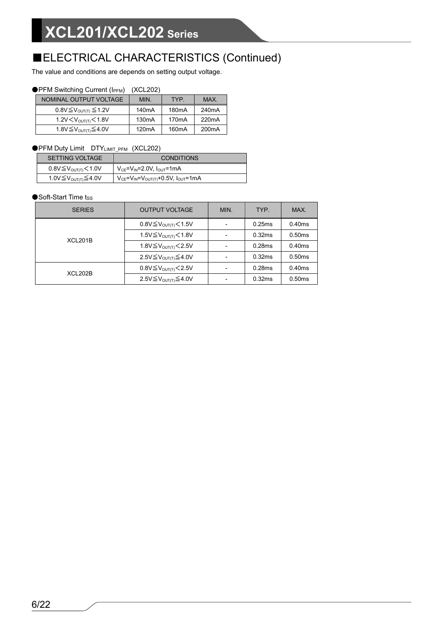## ■ELECTRICAL CHARACTERISTICS (Continued)

The value and conditions are depends on setting output voltage.

#### ●PFM Switching Current (IPFM) (XCL202)

| NOMINAL OUTPUT VOLTAGE                  | MIN.               | TYP.               | <b>MAX</b>         |
|-----------------------------------------|--------------------|--------------------|--------------------|
| $0.8V \leq V_{\text{OUT(T)}} \leq 1.2V$ | 140 <sub>m</sub> A | 180 <sub>m</sub> A | 240 <sub>m</sub> A |
| $1.2V < V_{\text{OUT/II}} < 1.8V$       | 130 <sub>m</sub> A | 170 <sub>m</sub> A | 220 <sub>m</sub> A |
| 1.8V ≤ V <sub>OUT(T)</sub> ≤ 4.0V       | 120mA              | 160 <sub>m</sub> A | 200 <sub>m</sub> A |

#### ●PFM Duty Limit DTYLIMIT\_PFM (XCL202)

| <b>SETTING VOLTAGE</b>         | <b>CONDITIONS</b>                                       |
|--------------------------------|---------------------------------------------------------|
| 0.8V≦V <sub>ουτ(τ)</sub> <1.0V | $V_{CE} = V_{IN} = 2.0 V$ , $I_{OUT} = 1 mA$            |
| 1.0V≦V <sub>ουτ∩</sub> ≤4.0V   | $V_{CE} = V_{IN} = V_{OUT(T)} + 0.5V$ , $I_{OUT} = 1mA$ |

#### ●Soft-Start Time tss

| <b>SERIES</b> | <b>OUTPUT VOLTAGE</b>                    | MIN. | TYP.   | MAX.   |
|---------------|------------------------------------------|------|--------|--------|
|               | 0.8V≦V <sub>OUT(T)</sub> $<$ 1.5V        |      | 0.25ms | 0.40ms |
| XCL201B       | 1.5V≦V <sub>o∪T(T)</sub> < 1.8V          |      | 0.32ms | 0.50ms |
|               | 1.8V $\leq$ V <sub>OUT(T)</sub> $<$ 2.5V |      | 0.28ms | 0.40ms |
|               | 2.5V≦V <sub>o∪T(T)</sub> ≤4.0V           |      | 0.32ms | 0.50ms |
| XCL202B       | $0.8V \leq V_{\text{OUT}}$ (7.5V         |      | 0.28ms | 0.40ms |
|               | 2.5V≦V <sub>OUT</sub> $\leq$ 4.0V        |      | 0.32ms | 0.50ms |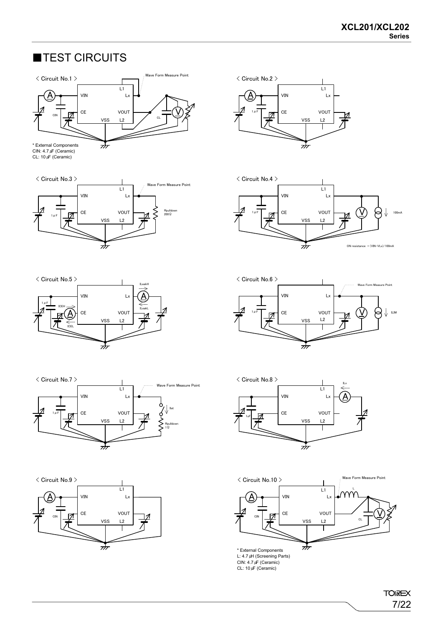## ■TEST CIRCUITS



CL: 10 *μ*F (Ceramic)

















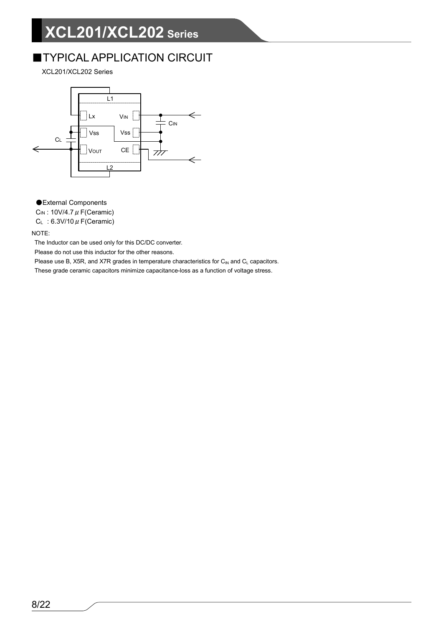## **TYPICAL APPLICATION CIRCUIT**

XCL201/XCL202 Series



● External Components

 $C_{IN}$ : 10V/4.7  $\mu$  F(Ceramic)

 $C_L$  : 6.3V/10  $\mu$  F(Ceramic)

NOTE:

The Inductor can be used only for this DC/DC converter.

Please do not use this inductor for the other reasons.

Please use B, X5R, and X7R grades in temperature characteristics for  $C_{IN}$  and  $C_L$  capacitors.

These grade ceramic capacitors minimize capacitance-loss as a function of voltage stress.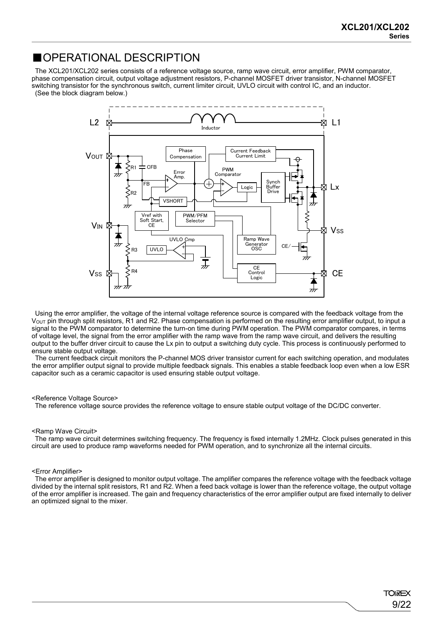9/22

**TOREX** 

### ■OPERATIONAL DESCRIPTION

The XCL201/XCL202 series consists of a reference voltage source, ramp wave circuit, error amplifier, PWM comparator, phase compensation circuit, output voltage adjustment resistors, P-channel MOSFET driver transistor, N-channel MOSFET switching transistor for the synchronous switch, current limiter circuit, UVLO circuit with control IC, and an inductor. (See the block diagram below.)



Using the error amplifier, the voltage of the internal voltage reference source is compared with the feedback voltage from the V<sub>OUT</sub> pin through split resistors, R1 and R2. Phase compensation is performed on the resulting error amplifier output, to input a signal to the PWM comparator to determine the turn-on time during PWM operation. The PWM comparator compares, in terms of voltage level, the signal from the error amplifier with the ramp wave from the ramp wave circuit, and delivers the resulting output to the buffer driver circuit to cause the Lx pin to output a switching duty cycle. This process is continuously performed to ensure stable output voltage.

The current feedback circuit monitors the P-channel MOS driver transistor current for each switching operation, and modulates the error amplifier output signal to provide multiple feedback signals. This enables a stable feedback loop even when a low ESR capacitor such as a ceramic capacitor is used ensuring stable output voltage.

#### <Reference Voltage Source>

The reference voltage source provides the reference voltage to ensure stable output voltage of the DC/DC converter.

#### <Ramp Wave Circuit>

The ramp wave circuit determines switching frequency. The frequency is fixed internally 1.2MHz. Clock pulses generated in this circuit are used to produce ramp waveforms needed for PWM operation, and to synchronize all the internal circuits.

#### <Error Amplifier>

The error amplifier is designed to monitor output voltage. The amplifier compares the reference voltage with the feedback voltage divided by the internal split resistors, R1 and R2. When a feed back voltage is lower than the reference voltage, the output voltage of the error amplifier is increased. The gain and frequency characteristics of the error amplifier output are fixed internally to deliver an optimized signal to the mixer.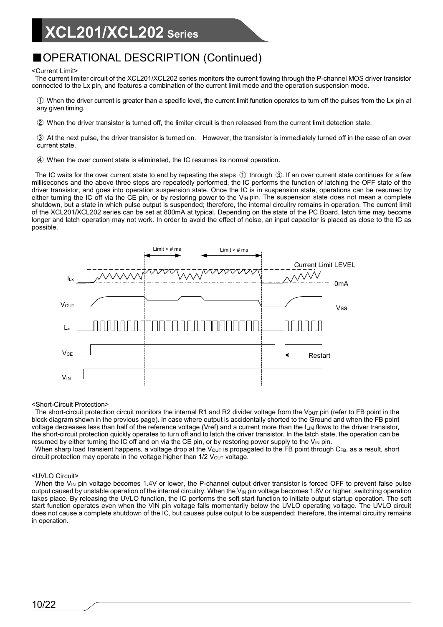## ■OPERATIONAL DESCRIPTION (Continued)

#### <Current Limit>

The current limiter circuit of the XCL201/XCL202 series monitors the current flowing through the P-channel MOS driver transistor connected to the Lx pin, and features a combination of the current limit mode and the operation suspension mode.

① When the driver current is greater than a specific level, the current limit function operates to turn off the pulses from the Lx pin at any given timing.

② When the driver transistor is turned off, the limiter circuit is then released from the current limit detection state.

③ At the next pulse, the driver transistor is turned on. However, the transistor is immediately turned off in the case of an over current state.

④ When the over current state is eliminated, the IC resumes its normal operation.

The IC waits for the over current state to end by repeating the steps ① through ③. If an over current state continues for a few milliseconds and the above three steps are repeatedly performed, the IC performs the function of latching the OFF state of the driver transistor, and goes into operation suspension state. Once the IC is in suspension state, operations can be resumed by either turning the IC off via the CE pin, or by restoring power to the V<sub>IN</sub> pin. The suspension state does not mean a complete shutdown, but a state in which pulse output is suspended; therefore, the internal circuitry remains in operation. The current limit of the XCL201/XCL202 series can be set at 800mA at typical. Depending on the state of the PC Board, latch time may become longer and latch operation may not work. In order to avoid the effect of noise, an input capacitor is placed as close to the IC as possible.



#### <Short-Circuit Protection>

The short-circuit protection circuit monitors the internal R1 and R2 divider voltage from the V<sub>OUT</sub> pin (refer to FB point in the block diagram shown in the previous page). In case where output is accidentally shorted to the Ground and when the FB point voltage decreases less than half of the reference voltage (Vref) and a current more than the ILIM flows to the driver transistor, the short-circuit protection quickly operates to turn off and to latch the driver transistor. In the latch state, the operation can be resumed by either turning the IC off and on via the CE pin, or by restoring power supply to the  $V_{\text{IN}}$  pin.

When sharp load transient happens, a voltage drop at the V<sub>OUT</sub> is propagated to the FB point through CFB, as a result, short circuit protection may operate in the voltage higher than  $1/2$  V<sub>OUT</sub> voltage.

#### <UVLO Circuit>

When the V<sub>IN</sub> pin voltage becomes 1.4V or lower, the P-channel output driver transistor is forced OFF to prevent false pulse output caused by unstable operation of the internal circuitry. When the  $V_{\text{IN}}$  pin voltage becomes 1.8V or higher, switching operation takes place. By releasing the UVLO function, the IC performs the soft start function to initiate output startup operation. The soft start function operates even when the VIN pin voltage falls momentarily below the UVLO operating voltage. The UVLO circuit does not cause a complete shutdown of the IC, but causes pulse output to be suspended; therefore, the internal circuitry remains in operation.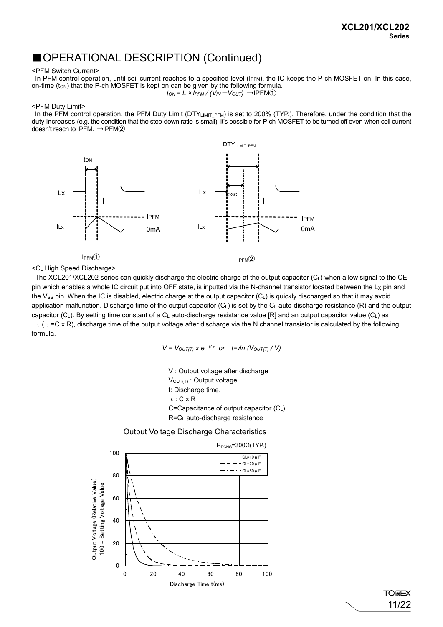### ■OPERATIONAL DESCRIPTION (Continued)

#### <PFM Switch Current>

In PFM control operation, until coil current reaches to a specified level (IPFM), the IC keeps the P-ch MOSFET on. In this case, on-time (ton) that the P-ch MOSFET is kept on can be given by the following formula.  $t_{ON} = L \times I_{PFM} / (V_{IN} - V_{OUT}) \rightarrow IPFM$ <sup>1</sup>

#### <PFM Duty Limit>

In the PFM control operation, the PFM Duty Limit (DTYLIMIT\_PFM) is set to 200% (TYP.). Therefore, under the condition that the duty increases (e.g. the condition that the step-down ratio is small), it's possible for P-ch MOSFET to be turned off even when coil current doesn't reach to IPFM. →IPFM②



<CL High Speed Discharge>

The XCL201/XCL202 series can quickly discharge the electric charge at the output capacitor (CL) when a low signal to the CE pin which enables a whole IC circuit put into OFF state, is inputted via the N-channel transistor located between the  $L_X$  pin and the Vss pin. When the IC is disabled, electric charge at the output capacitor (CL) is quickly discharged so that it may avoid application malfunction. Discharge time of the output capacitor  $(C_L)$  is set by the  $C_L$  auto-discharge resistance  $(R)$  and the output capacitor (C<sub>L</sub>). By setting time constant of a C<sub>L</sub> auto-discharge resistance value [R] and an output capacitor value (C<sub>L</sub>) as  $\tau$  ( $\tau$  =C x R), discharge time of the output voltage after discharge via the N channel transistor is calculated by the following formula.

 $V = V_{OUT(T)}$   $X e^{-t/\tau}$  *or*  $t = \pi/n$  ( $V_{OUT(T)}$  / V)

V : Output voltage after discharge VOUT(T): Output voltage t: Discharge time,  $\tau$ : C x R C=Capacitance of output capacitor (CL) R=CL auto-discharge resistance





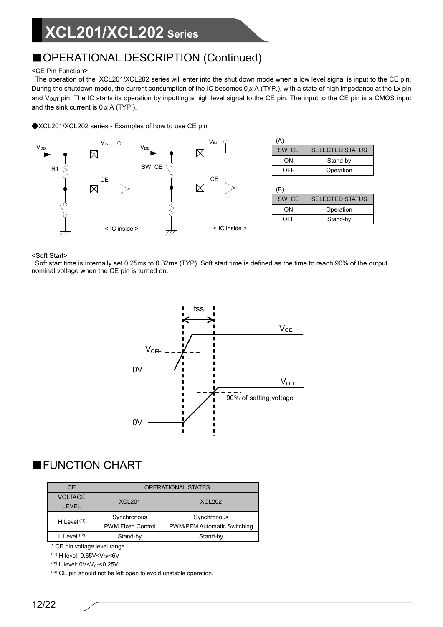## ■OPERATIONAL DESCRIPTION (Continued)

#### <CE Pin Function>

The operation of the XCL201/XCL202 series will enter into the shut down mode when a low level signal is input to the CE pin. During the shutdown mode, the current consumption of the IC becomes  $0 \mu$  A (TYP.), with a state of high impedance at the Lx pin and V<sub>OUT</sub> pin. The IC starts its operation by inputting a high level signal to the CE pin. The input to the CE pin is a CMOS input and the sink current is  $0 \mu$  A (TYP.).

●XCL201/XCL202 series - Examples of how to use CE pin



<Soft Start>

Soft start time is internally set 0.25ms to 0.32ms (TYP). Soft start time is defined as the time to reach 90% of the output nominal voltage when the CE pin is turned on.



## ■FUNCTION CHART

| <b>CE</b>      | <b>OPERATIONAL STATES</b> |                             |  |  |
|----------------|---------------------------|-----------------------------|--|--|
| <b>VOLTAGE</b> | <b>XCL201</b>             | <b>XCL202</b>               |  |  |
| <b>LEVEL</b>   |                           |                             |  |  |
| H Level $(1)$  | Synchronous               | Synchronous                 |  |  |
|                | <b>PWM Fixed Control</b>  | PWM/PFM Automatic Switching |  |  |
| L Level $(2)$  | Stand-by                  | Stand-by                    |  |  |

\* CE pin voltage level range

 $(1)$  H level:  $0.65V \leq V_{CE} \leq 6V$ 

 $(2)$  L level:  $0V_{\leq}V_{CE}\leq 0.25V$ 

(\*3) CE pin should not be left open to avoid unstable operation.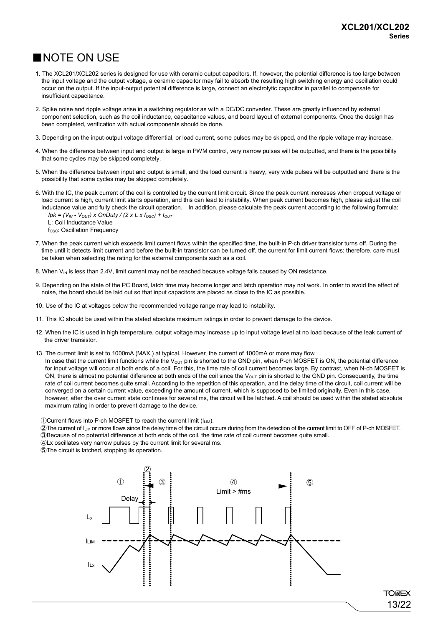13/22

**TOREX** 

## ■NOTE ON USE

- 1. The XCL201/XCL202 series is designed for use with ceramic output capacitors. If, however, the potential difference is too large between the input voltage and the output voltage, a ceramic capacitor may fail to absorb the resulting high switching energy and oscillation could occur on the output. If the input-output potential difference is large, connect an electrolytic capacitor in parallel to compensate for insufficient capacitance.
- 2. Spike noise and ripple voltage arise in a switching regulator as with a DC/DC converter. These are greatly influenced by external component selection, such as the coil inductance, capacitance values, and board layout of external components. Once the design has been completed, verification with actual components should be done.
- 3. Depending on the input-output voltage differential, or load current, some pulses may be skipped, and the ripple voltage may increase.
- 4. When the difference between input and output is large in PWM control, very narrow pulses will be outputted, and there is the possibility that some cycles may be skipped completely.
- 5. When the difference between input and output is small, and the load current is heavy, very wide pulses will be outputted and there is the possibility that some cycles may be skipped completely.
- 6. With the IC, the peak current of the coil is controlled by the current limit circuit. Since the peak current increases when dropout voltage or load current is high, current limit starts operation, and this can lead to instability. When peak current becomes high, please adjust the coil inductance value and fully check the circuit operation. In addition, please calculate the peak current according to the following formula: *Ipk = (V<sub>IN</sub> - V<sub>OUT</sub>) x OnDuty / (2 x L x f<sub>OSC</sub>) +*  $I_{OUT}$ 
	- L: Coil Inductance Value
	- f<sub>osc</sub>: Oscillation Frequency
- 7. When the peak current which exceeds limit current flows within the specified time, the built-in P-ch driver transistor turns off. During the time until it detects limit current and before the built-in transistor can be turned off, the current for limit current flows; therefore, care must be taken when selecting the rating for the external components such as a coil.
- 8. When V<sub>IN</sub> is less than 2.4V, limit current may not be reached because voltage falls caused by ON resistance.
- 9. Depending on the state of the PC Board, latch time may become longer and latch operation may not work. In order to avoid the effect of noise, the board should be laid out so that input capacitors are placed as close to the IC as possible.
- 10. Use of the IC at voltages below the recommended voltage range may lead to instability.
- 11. This IC should be used within the stated absolute maximum ratings in order to prevent damage to the device.
- 12. When the IC is used in high temperature, output voltage may increase up to input voltage level at no load because of the leak current of the driver transistor.
- 13. The current limit is set to 1000mA (MAX.) at typical. However, the current of 1000mA or more may flow.

In case that the current limit functions while the  $V_{\text{OUT}}$  pin is shorted to the GND pin, when P-ch MOSFET is ON, the potential difference for input voltage will occur at both ends of a coil. For this, the time rate of coil current becomes large. By contrast, when N-ch MOSFET is ON, there is almost no potential difference at both ends of the coil since the  $V_{\text{OUT}}$  pin is shorted to the GND pin. Consequently, the time rate of coil current becomes quite small. According to the repetition of this operation, and the delay time of the circuit, coil current will be converged on a certain current value, exceeding the amount of current, which is supposed to be limited originally. Even in this case, however, after the over current state continues for several ms, the circuit will be latched. A coil should be used within the stated absolute maximum rating in order to prevent damage to the device.

- ①Current flows into P-ch MOSFET to reach the current limit (ILIM).
- ②The current of ILIM or more flows since the delay time of the circuit occurs during from the detection of the current limit to OFF of P-ch MOSFET.
- ③Because of no potential difference at both ends of the coil, the time rate of coil current becomes quite small.
- ④Lx oscillates very narrow pulses by the current limit for several ms.
- ⑤The circuit is latched, stopping its operation.

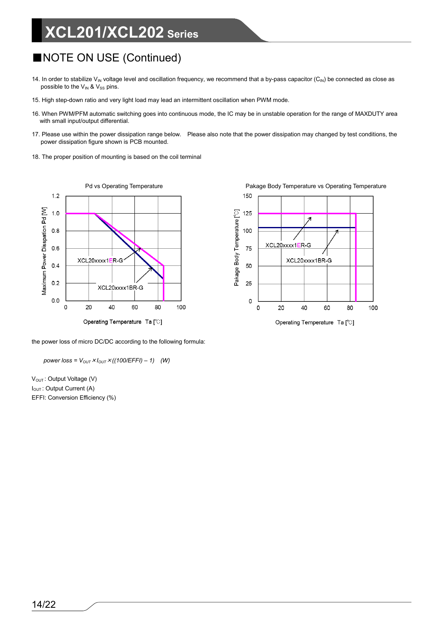## ■NOTE ON USE (Continued)

- 14. In order to stabilize V<sub>IN</sub> voltage level and oscillation frequency, we recommend that a by-pass capacitor  $(C_{\text{IN}})$  be connected as close as possible to the  $V_{IN}$  &  $V_{SS}$  pins.
- 15. High step-down ratio and very light load may lead an intermittent oscillation when PWM mode.
- 16. When PWM/PFM automatic switching goes into continuous mode, the IC may be in unstable operation for the range of MAXDUTY area with small input/output differential.
- 17. Please use within the power dissipation range below. Please also note that the power dissipation may changed by test conditions, the power dissipation figure shown is PCB mounted.
- 18. The proper position of mounting is based on the coil terminal



Pd vs Operating Temperature **Pakage Body Temperature vs Operating Temperature** 



the power loss of micro DC/DC according to the following formula:

*power loss* =  $V_{OUT} \times I_{OUT} \times ((100/EFFI) - 1)$  *(W)* 

V<sub>OUT</sub>: Output Voltage (V) I<sub>OUT</sub>: Output Current (A) EFFI: Conversion Efficiency (%)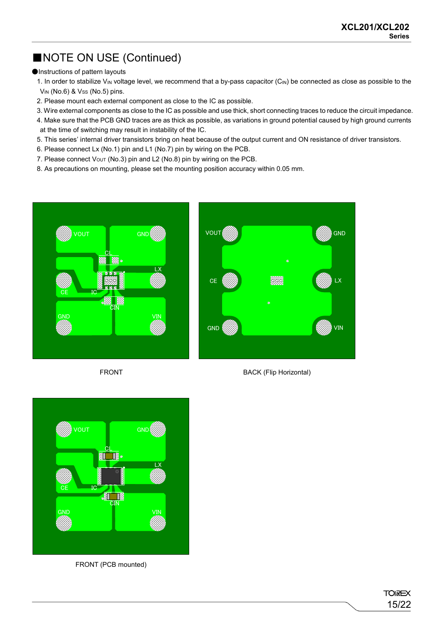## ■NOTE ON USE (Continued)

#### ●Instructions of pattern layouts

1. In order to stabilize V<sub>IN</sub> voltage level, we recommend that a by-pass capacitor (C<sub>IN</sub>) be connected as close as possible to the  $V_{IN}$  (No.6) &  $V_{SS}$  (No.5) pins.

- 2. Please mount each external component as close to the IC as possible.
- 3. Wire external components as close to the IC as possible and use thick, short connecting traces to reduce the circuit impedance.
- 4. Make sure that the PCB GND traces are as thick as possible, as variations in ground potential caused by high ground currents at the time of switching may result in instability of the IC.
- 5. This series' internal driver transistors bring on heat because of the output current and ON resistance of driver transistors.
- 6. Please connect Lx (No.1) pin and L1 (No.7) pin by wiring on the PCB.
- 7. Please connect  $V_{\text{OUT}}$  (No.3) pin and L2 (No.8) pin by wiring on the PCB.
- 8. As precautions on mounting, please set the mounting position accuracy within 0.05 mm.



FRONT





FRONT (PCB mounted)

**TOIREX** 15/22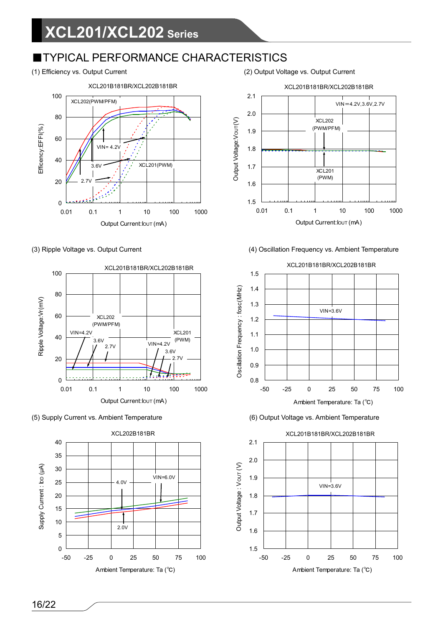## ■TYPICAL PERFORMANCE CHARACTERISTICS

(1) Efficiency vs. Output Current (2) Output Voltage vs. Output Current











(3) Ripple Voltage vs. Output Current (4) Oscillation Frequency vs. Ambient Temperature







16/22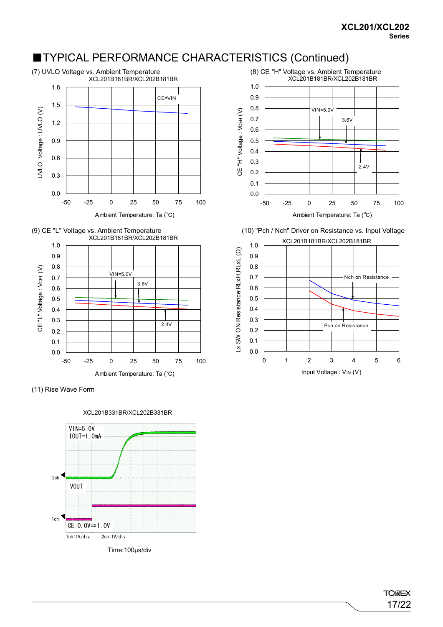## ■TYPICAL PERFORMANCE CHARACTERISTICS (Continued)















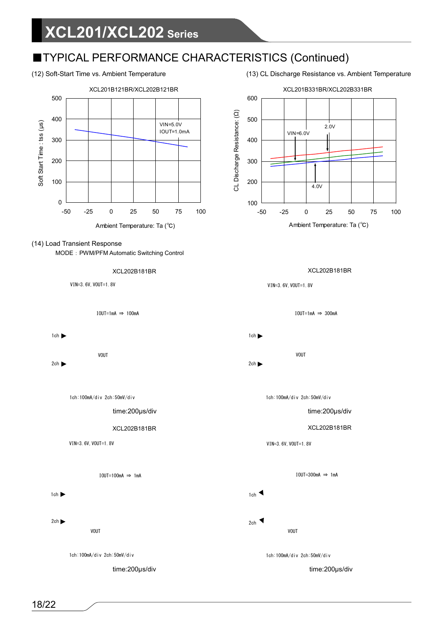## ■TYPICAL PERFORMANCE CHARACTERISTICS (Continued)



#### (14) Load Transient Response

MODE: PWM/PFM Automatic Switching Control





IOUT=1mA ⇒ 100mA



 $2ch$ 

1ch:100mA/div 2ch:50mV/div

time:200μs/div

XCL202B181BR XCL202B181BR

VIN=3.6V, VOUT=1.8V

IOUT=100mA ⇒ 1mA

1ch  $\blacktriangleright$ 

VOUT  $2ch$ 



time:200μs/div





VIN=3.6V, VOUT=1.8V

IOUT=1mA ⇒ 300mA

1ch

VOUT  $2ch$ 

1ch:100mA/div 2ch:50mV/div

time:200μs/div

VIN=3.6V, VOUT=1.8V

IOUT=300mA  $\Rightarrow$  1mA

1ch  $\triangleleft$ 2ch

VOUT

1ch:100mA/div 2ch:50mV/div

time:200μs/div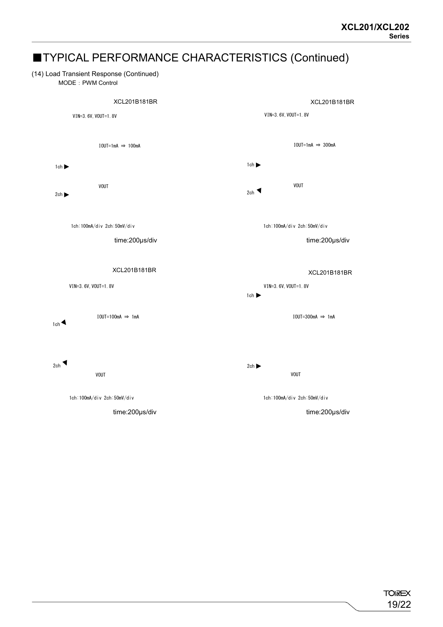## ■TYPICAL PERFORMANCE CHARACTERISTICS (Continued)

#### (14) Load Transient Response (Continued)

MODE: PWM Control

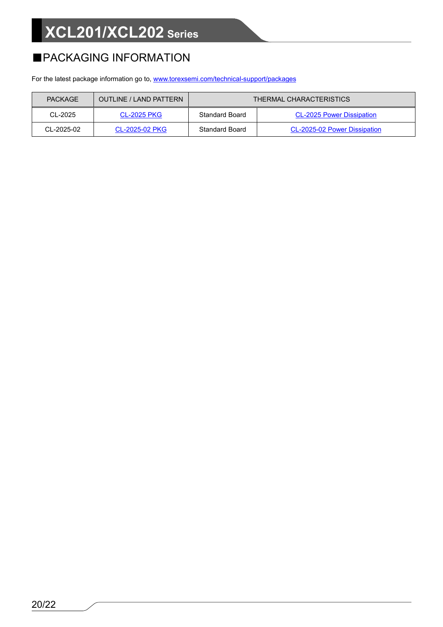## ■PACKAGING INFORMATION

For the latest package information go to, [www.torexsemi.com/technical-support/packages](https://www.torexsemi.com/technical-support/packages/)

| <b>PACKAGE</b>   | OUTLINE / LAND PATTERN | THERMAL CHARACTERISTICS |                                  |  |  |  |
|------------------|------------------------|-------------------------|----------------------------------|--|--|--|
| CL-2025          | <b>CL-2025 PKG</b>     | <b>Standard Board</b>   | <b>CL-2025 Power Dissipation</b> |  |  |  |
| $CI - 2025 - 02$ | CL-2025-02 PKG         | <b>Standard Board</b>   | CL-2025-02 Power Dissipation     |  |  |  |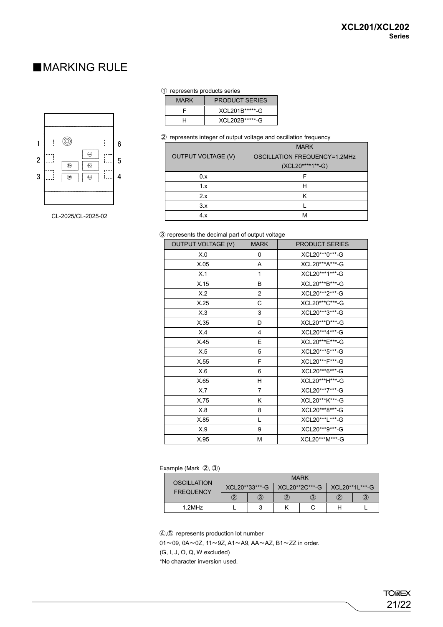## ■MARKING RULE



CL-2025/CL-2025-02

#### ① represents products series

| <b>MARK</b> | <b>PRODUCT SERIES</b> |
|-------------|-----------------------|
|             | XCL 201B*****-G       |
|             | XCL202B ******- G     |

② represents integer of output voltage and oscillation frequency

|                           | <b>MARK</b>                         |  |  |  |
|---------------------------|-------------------------------------|--|--|--|
| <b>OUTPUT VOLTAGE (V)</b> | <b>OSCILLATION FREQUENCY=1.2MHz</b> |  |  |  |
|                           | (XCL20****1**-G)                    |  |  |  |
| 0.x                       |                                     |  |  |  |
| 1.x                       |                                     |  |  |  |
| 2.x                       |                                     |  |  |  |
| 3.x                       |                                     |  |  |  |
| 4.x                       | M                                   |  |  |  |

#### ③ represents the decimal part of output voltage

| <b>OUTPUT VOLTAGE (V)</b> | <b>MARK</b>    | <b>PRODUCT SERIES</b> |  |  |  |
|---------------------------|----------------|-----------------------|--|--|--|
| X.0                       | 0              | XCL20***0***-G        |  |  |  |
| X.05                      | A              | XCL20***A***-G        |  |  |  |
| X.1                       | 1              | XCL20***1***-G        |  |  |  |
| X.15                      | B              | XCL20***B***-G        |  |  |  |
| X.2                       | $\overline{2}$ | XCL20***2***-G        |  |  |  |
| X.25                      | С              | XCL20***C***-G        |  |  |  |
| X.3                       | 3              | XCL20***3***-G        |  |  |  |
| X.35                      | D              | XCL20***D***-G        |  |  |  |
| X.4                       | $\overline{4}$ | XCL20***4***-G        |  |  |  |
| X.45                      | E              | XCL20***E***-G        |  |  |  |
| X.5                       | 5              | XCL20***5***-G        |  |  |  |
| X.55                      | F              | XCL20***F***-G        |  |  |  |
| X.6                       | 6              | XCL20***6***-G        |  |  |  |
| X.65                      | H              | XCL20***H***-G        |  |  |  |
| X.7                       | $\overline{7}$ | XCL20***7***-G        |  |  |  |
| X.75                      | K              | XCL20***K***-G        |  |  |  |
| X.8                       | 8              | XCL20***8***-G        |  |  |  |
| X.85                      | L              | XCL20***L***-G        |  |  |  |
| X.9                       | 9              | XCL20***9***-G        |  |  |  |
| X.95                      | М              | XCL20***M***-G        |  |  |  |

#### Example (Mark ②, ③)

| OSCILLATION<br><b>FREQUENCY</b> | <b>MARK</b>     |   |                        |   |                  |   |  |  |
|---------------------------------|-----------------|---|------------------------|---|------------------|---|--|--|
|                                 | XCL 20**33***-G |   | XCL20**2C***-G         |   | XCI 20**11 ***-G |   |  |  |
|                                 | 2               | 3 | $\widehat{\mathbf{2}}$ | 3 |                  | З |  |  |
| $1.2$ MH $z$                    |                 | ິ |                        |   |                  |   |  |  |

④,⑤ represents production lot number

01~09, 0A~0Z, 11~9Z, A1~A9, AA~AZ, B1~ZZ in order.

(G, I, J, O, Q, W excluded)

\*No character inversion used.